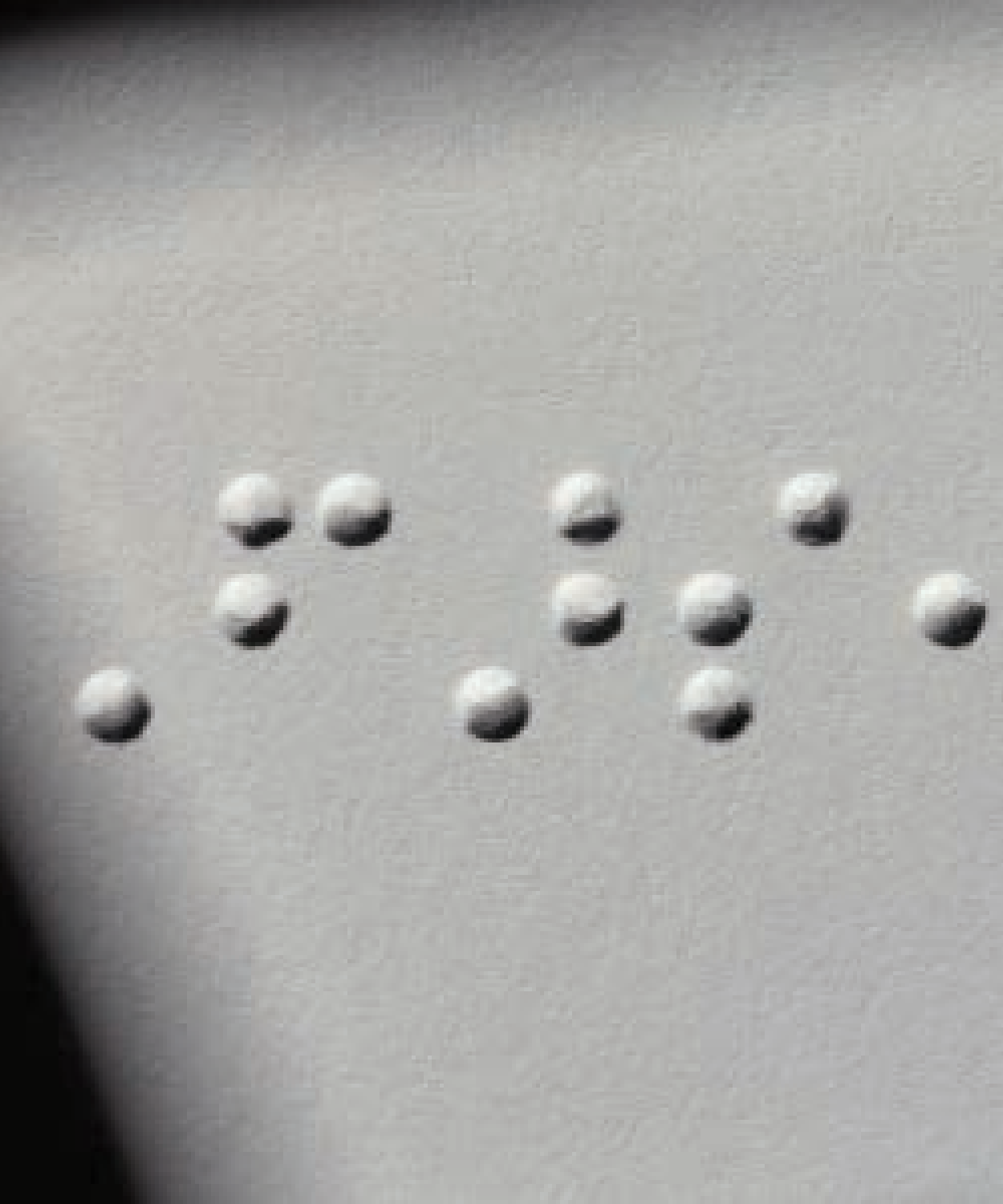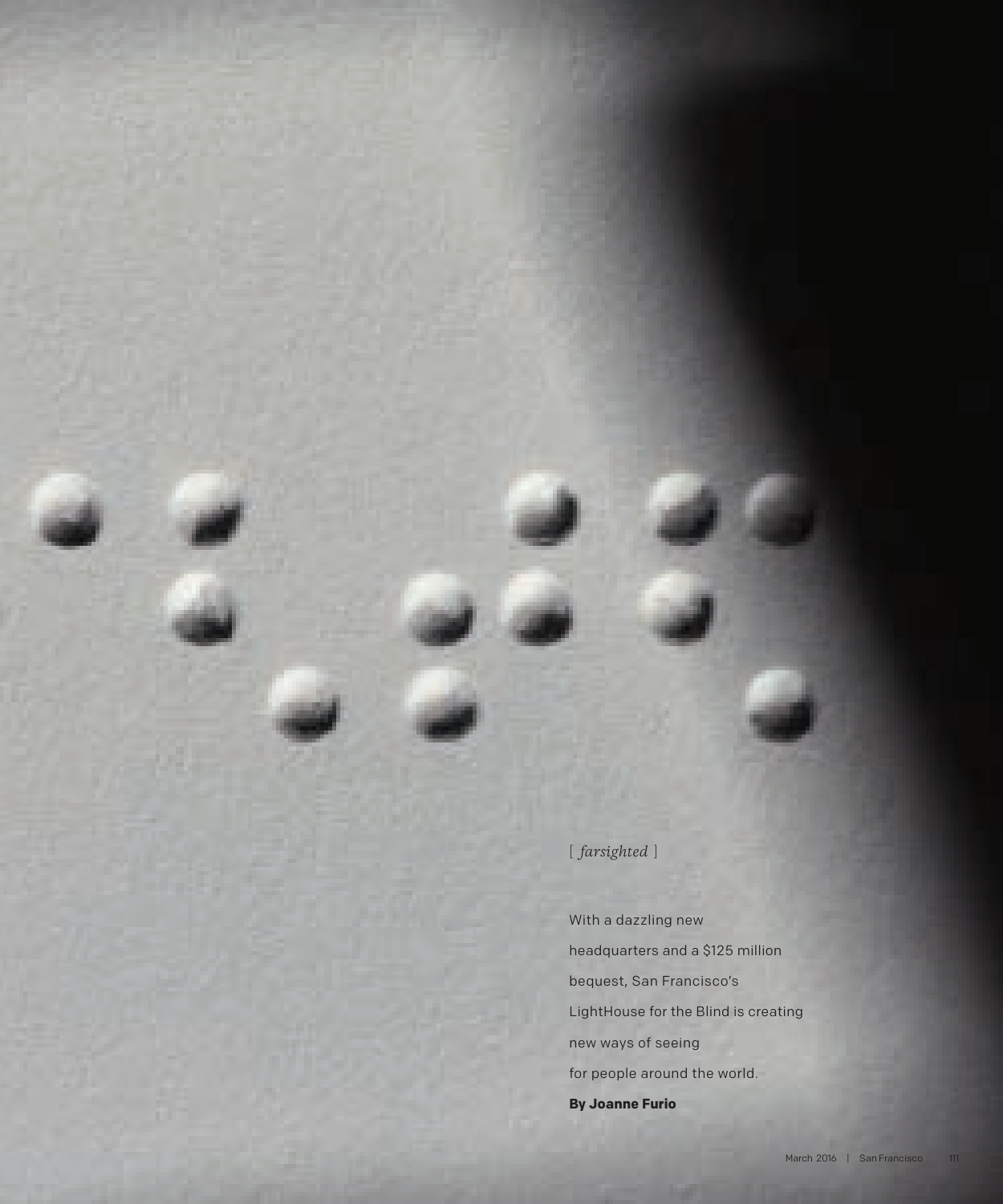









# [ *farsighted* ]

With a dazzling new headquarters and a \$125 million bequest, San Francisco's LightHouse for the Blind is creating new ways of seeing for people around the world. **By Joanne Furio**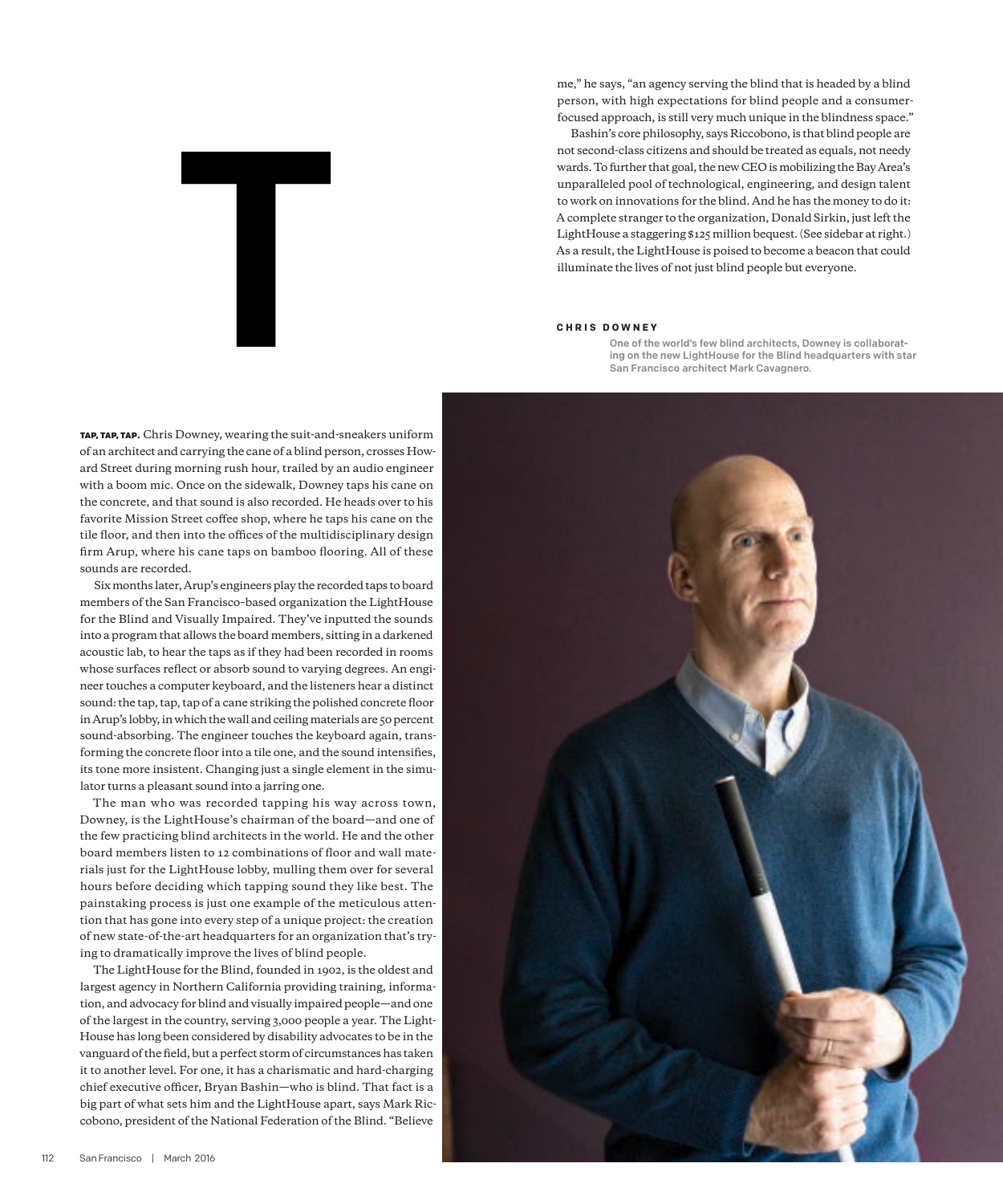

me," he says, "an agency serving the blind that is headed by a blind person, with high expectations for blind people and a consumerfocused approach, is still very much unique in the blindness space."

Bashin's core philosophy, says Riccobono, is that blind people are not second-class citizens and should be treated as equals, not needy wards. To further that goal, the new CEO is mobilizing the Bay Area's unparalleled pool of technological, engineering, and design talent to work on innovations for the blind. And he has the money to do it: A complete stranger to the organization, Donald Sirkin, just left the LightHouse a staggering \$125 million bequest. (See sidebar at right.) As a result, the LightHouse is poised to become a beacon that could Bashin's core philosophy, says Riccobono, is that blind<br>not second-class citizens and should be treated as equals,<br>wards. To further that goal, the new CEO is mobilizing the<br>unparalleled pool of technological, engineering,

One of the world's few blind architects, Downey is collaborating on the new LightHouse for the Blind headquarters with star San Francisco architect Mark Cavagnero.

TAP, TAP, TAP**.** Chris Downey, wearing the suit-and-sneakers uniform of an architect and carrying the cane of a blind person, crosses Howard Street during morning rush hour, trailed by an audio engineer with a boom mic. Once on the sidewalk, Downey taps his cane on the concrete, and that sound is also recorded. He heads over to his favorite Mission Street coffee shop, where he taps his cane on the tile floor, and then into the offices of the multidisciplinary design firm Arup, where his cane taps on bamboo flooring. All of these sounds are recorded.

Six months later, Arup's engineers play the recorded taps to board members of the San Francisco–based organization the LightHouse for the Blind and Visually Impaired. They've inputted the sounds into a program that allows the board members, sitting in a darkened acoustic lab, to hear the taps as if they had been recorded in rooms whose surfaces reflect or absorb sound to varying degrees. An engineer touches a computer keyboard, and the listeners hear a distinct sound: the tap, tap, tap of a cane striking the polished concrete floor in Arup's lobby, in which the wall and ceiling materials are 50 percent sound-absorbing. The engineer touches the keyboard again, transforming the concrete floor into a tile one, and the sound intensifies, its tone more insistent. Changing just a single element in the simulator turns a pleasant sound into a jarring one.

The man who was recorded tapping his way across town, Downey, is the LightHouse's chairman of the board—and one of the few practicing blind architects in the world. He and the other board members listen to 12 combinations of floor and wall materials just for the LightHouse lobby, mulling them over for several hours before deciding which tapping sound they like best. The painstaking process is just one example of the meticulous attention that has gone into every step of a unique project: the creation of new state-of-the-art headquarters for an organization that's trying to dramatically improve the lives of blind people.

The LightHouse for the Blind, founded in 1902, is the oldest and largest agency in Northern California providing training, information, and advocacy for blind and visually impaired people—and one of the largest in the country, serving 3,000 people a year. The Light-House has long been considered by disability advocates to be in the vanguard of the field, but a perfect storm of circumstances has taken it to another level. For one, it has a charismatic and hard-charging chief executive officer, Bryan Bashin—who is blind. That fact is a big part of what sets him and the LightHouse apart, says Mark Riccobono, president of the National Federation of the Blind. "Believe

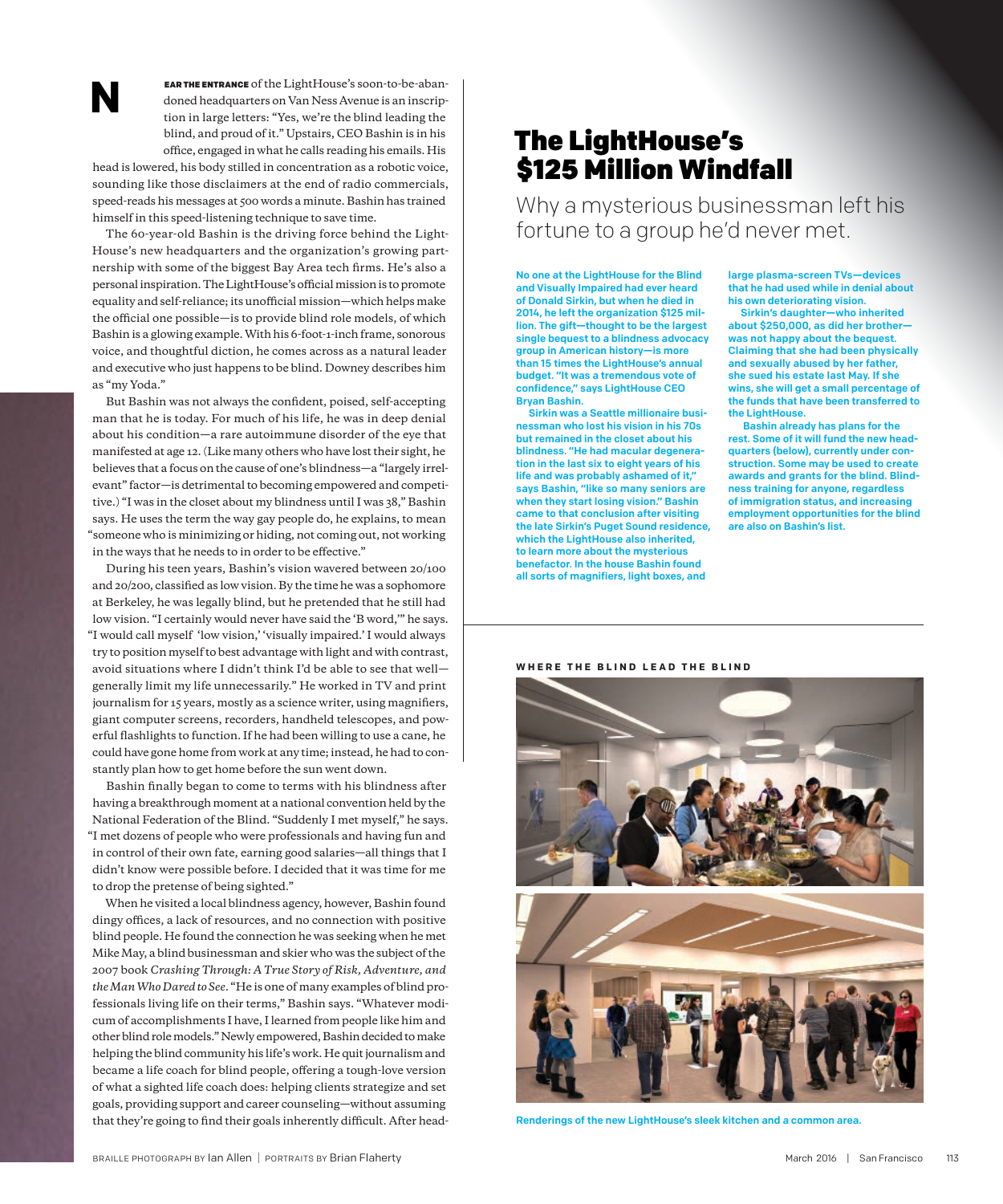EAR THE ENTRANCE of the LightHouse's soon-to-be-abandoned headquarters on Van Ness Avenue is an inscription in large letters: "Yes, we're the blind leading the blind, and proud of it." Upstairs, CEO Bashin is in his office, engaged in what he calls reading his emails. His

head is lowered, his body stilled in concentration as a robotic voice, sounding like those disclaimers at the end of radio commercials, speed-reads his messages at 500 words a minute. Bashin has trained himself in this speed-listening technique to save time.

**N**

The 60-year-old Bashin is the driving force behind the Light-House's new headquarters and the organization's growing partnership with some of the biggest Bay Area tech firms. He's also a personal inspiration. The LightHouse's official mission is to promote equality and self-reliance; its unofficial mission—which helps make the official one possible—is to provide blind role models, of which Bashin is a glowing example. With his 6-foot-1-inch frame, sonorous voice, and thoughtful diction, he comes across as a natural leader and executive who just happens to be blind. Downey describes him as "my Yoda."

But Bashin was not always the confident, poised, self-accepting man that he is today. For much of his life, he was in deep denial about his condition—a rare autoimmune disorder of the eye that manifested at age 12. (Like many others who have lost their sight, he believes that a focus on the cause of one's blindness—a "largely irrelevant" factor—is detrimental to becoming empowered and competitive.) "I was in the closet about my blindness until I was 38," Bashin says. He uses the term the way gay people do, he explains, to mean "someone who is minimizing or hiding, not coming out, not working in the ways that he needs to in order to be effective."

During his teen years, Bashin's vision wavered between 20/100 and 20/200, classified as low vision. By the time he was a sophomore at Berkeley, he was legally blind, but he pretended that he still had low vision. "I certainly would never have said the 'B word,'" he says. "I would call myself 'low vision,' 'visually impaired.' I would always try to position myself to best advantage with light and with contrast, avoid situations where I didn't think I'd be able to see that well generally limit my life unnecessarily." He worked in TV and print journalism for 15 years, mostly as a science writer, using magnifiers, giant computer screens, recorders, handheld telescopes, and powerful flashlights to function. If he had been willing to use a cane, he could have gone home from work at any time; instead, he had to constantly plan how to get home before the sun went down.

Bashin finally began to come to terms with his blindness after having a breakthrough moment at a national convention held by the National Federation of the Blind. "Suddenly I met myself," he says. "I met dozens of people who were professionals and having fun and in control of their own fate, earning good salaries—all things that I didn't know were possible before. I decided that it was time for me to drop the pretense of being sighted."

When he visited a local blindness agency, however, Bashin found dingy offices, a lack of resources, and no connection with positive blind people. He found the connection he was seeking when he met Mike May, a blind businessman and skier who was the subject of the 2007 book *Crashing Through: A True Story of Risk, Adventure, and the Man Who Dared to See*. "He is one of many examples of blind professionals living life on their terms," Bashin says. "Whatever modicum of accomplishments I have, I learned from people like him and other blind role models." Newly empowered, Bashin decided to make helping the blind community his life's work. He quit journalism and became a life coach for blind people, offering a tough-love version of what a sighted life coach does: helping clients strategize and set goals, providing support and career counseling—without assuming that they're going to find their goals inherently difficult. After head-

# The LightHouse's \$125 Million Windfall

Why a mysterious businessman left his fortune to a group he'd never met.

No one at the LightHouse for the Blind and Visually Impaired had ever heard of Donald Sirkin, but when he died in 2014, he left the organization \$125 million. The gift—thought to be the largest single bequest to a blindness advocacy group in American history—is more than 15 times the LightHouse's annual budget. "It was a tremendous vote of confidence," says LightHouse CEO Bryan Bashin.

Sirkin was a Seattle millionaire businessman who lost his vision in his 70s but remained in the closet about his blindness. "He had macular degeneration in the last six to eight years of his life and was probably ashamed of it," says Bashin, "like so many seniors are when they start losing vision." Bashin came to that conclusion after visiting the late Sirkin's Puget Sound residence, which the LightHouse also inherited. to learn more about the mysterious benefactor. In the house Bashin found all sorts of magnifiers, light boxes, and

large plasma-screen TVs—devices that he had used while in denial about his own deteriorating vision.

Sirkin's daughter—who inherited about \$250,000, as did her brother was not happy about the bequest. Claiming that she had been physically and sexually abused by her father, she sued his estate last May. If she wins, she will get a small percentage of the funds that have been transferred to the LightHouse.

 Bashin already has plans for the rest. Some of it will fund the new headquarters (below), currently under construction. Some may be used to create awards and grants for the blind. Blindness training for anyone, regardless of immigration status, and increasing employment opportunities for the blind are also on Bashin's list.

#### WHERE THE BLIND LEAD THE BLIND



Renderings of the new LightHouse's sleek kitchen and a common area.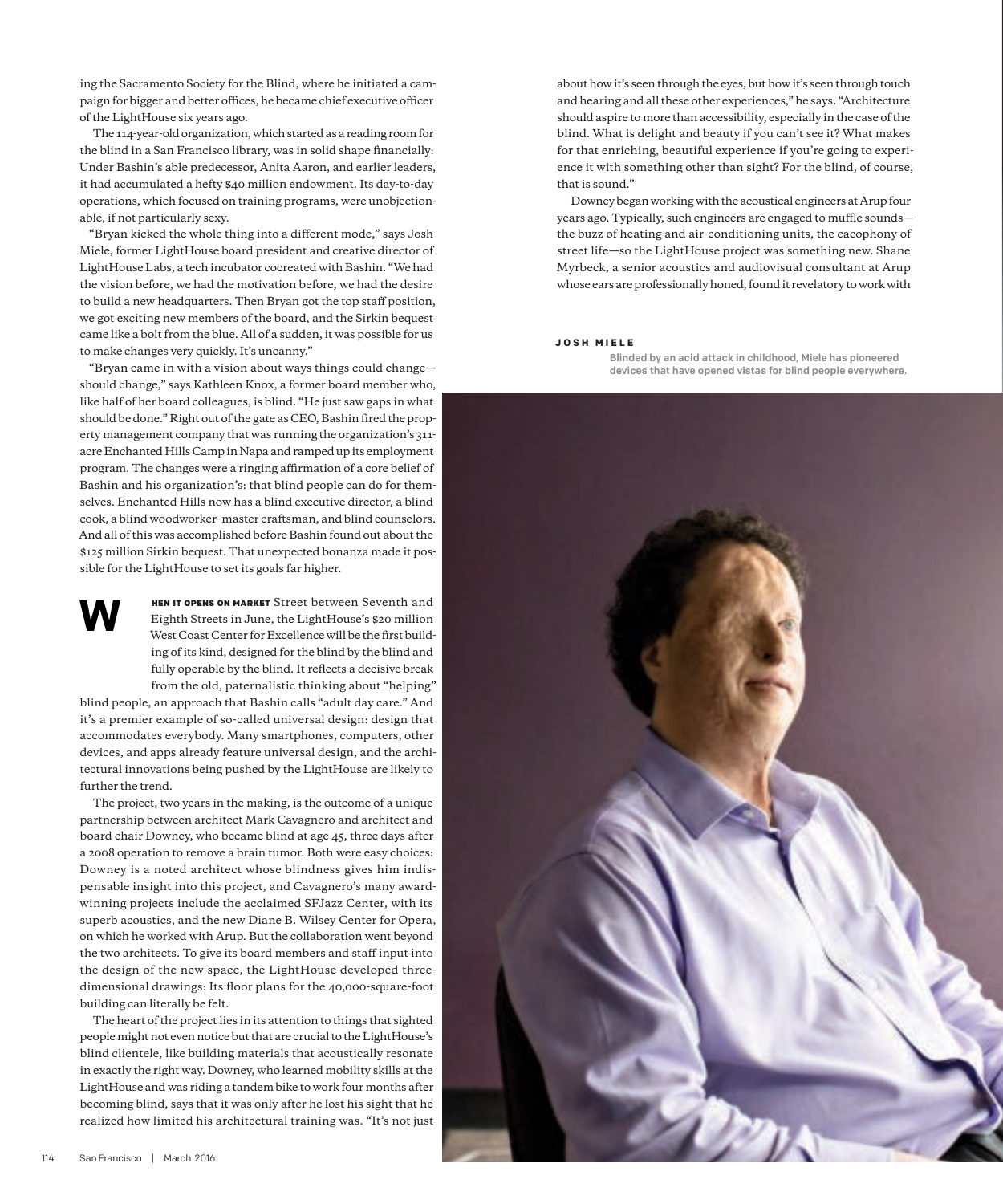ing the Sacramento Society for the Blind, where he initiated a campaign for bigger and better offices, he became chief executive officer of the LightHouse six years ago.

The 114-year-old organization, which started as a reading room for the blind in a San Francisco library, was in solid shape financially: Under Bashin's able predecessor, Anita Aaron, and earlier leaders, it had accumulated a hefty \$40 million endowment. Its day-to-day operations, which focused on training programs, were unobjectionable, if not particularly sexy.

"Bryan kicked the whole thing into a different mode," says Josh Miele, former LightHouse board president and creative director of LightHouse Labs, a tech incubator cocreated with Bashin. "We had the vision before, we had the motivation before, we had the desire to build a new headquarters. Then Bryan got the top staff position, we got exciting new members of the board, and the Sirkin bequest came like a bolt from the blue. All of a sudden, it was possible for us to make changes very quickly. It's uncanny."

"Bryan came in with a vision about ways things could change should change," says Kathleen Knox, a former board member who, like half of her board colleagues, is blind. "He just saw gaps in what should be done." Right out of the gate as CEO, Bashin fired the property management company that was running the organization's 311 acre Enchanted Hills Camp in Napa and ramped up its employment program. The changes were a ringing affirmation of a core belief of Bashin and his organization's: that blind people can do for themselves. Enchanted Hills now has a blind executive director, a blind cook, a blind woodworker–master craftsman, and blind counselors. And all of this was accomplished before Bashin found out about the \$125 million Sirkin bequest. That unexpected bonanza made it possible for the LightHouse to set its goals far higher.



HEN IT OPENS ON MARKET Street between Seventh and Eighth Streets in June, the LightHouse's \$20 million West Coast Center for Excellence will be the first building of its kind, designed for the blind by the blind and fully operable by the blind. It reflects a decisive break from the old, paternalistic thinking about "helping"

blind people, an approach that Bashin calls "adult day care." And it's a premier example of so-called universal design: design that accommodates everybody. Many smartphones, computers, other devices, and apps already feature universal design, and the architectural innovations being pushed by the LightHouse are likely to further the trend.

The project, two years in the making, is the outcome of a unique partnership between architect Mark Cavagnero and architect and board chair Downey, who became blind at age 45, three days after a 2008 operation to remove a brain tumor. Both were easy choices: Downey is a noted architect whose blindness gives him indispensable insight into this project, and Cavagnero's many awardwinning projects include the acclaimed SFJazz Center, with its superb acoustics, and the new Diane B. Wilsey Center for Opera, on which he worked with Arup. But the collaboration went beyond the two architects. To give its board members and staff input into the design of the new space, the LightHouse developed threedimensional drawings: Its floor plans for the 40,000-square-foot building can literally be felt.

The heart of the project lies in its attention to things that sighted people might not even notice but that are crucial to the LightHouse's blind clientele, like building materials that acoustically resonate in exactly the right way. Downey, who learned mobility skills at the LightHouse and was riding a tandem bike to work four months after becoming blind, says that it was only after he lost his sight that he realized how limited his architectural training was. "It's not just

Downey began working with the acoustical engineers at Arup four years ago. Typically, such engineers are engaged to muffle sounds the buzz of heating and air-conditioning units, the cacophony of street life—so the LightHouse project was something new. Shane Myrbeck, a senior acoustics and audiovisual consultant at Arup whose ears are professionally honed, found it revelatory to work with

#### **JOSH MIELE**

Blinded by an acid attack in childhood, Miele has pioneered devices that have opened vistas for blind people everywhere.

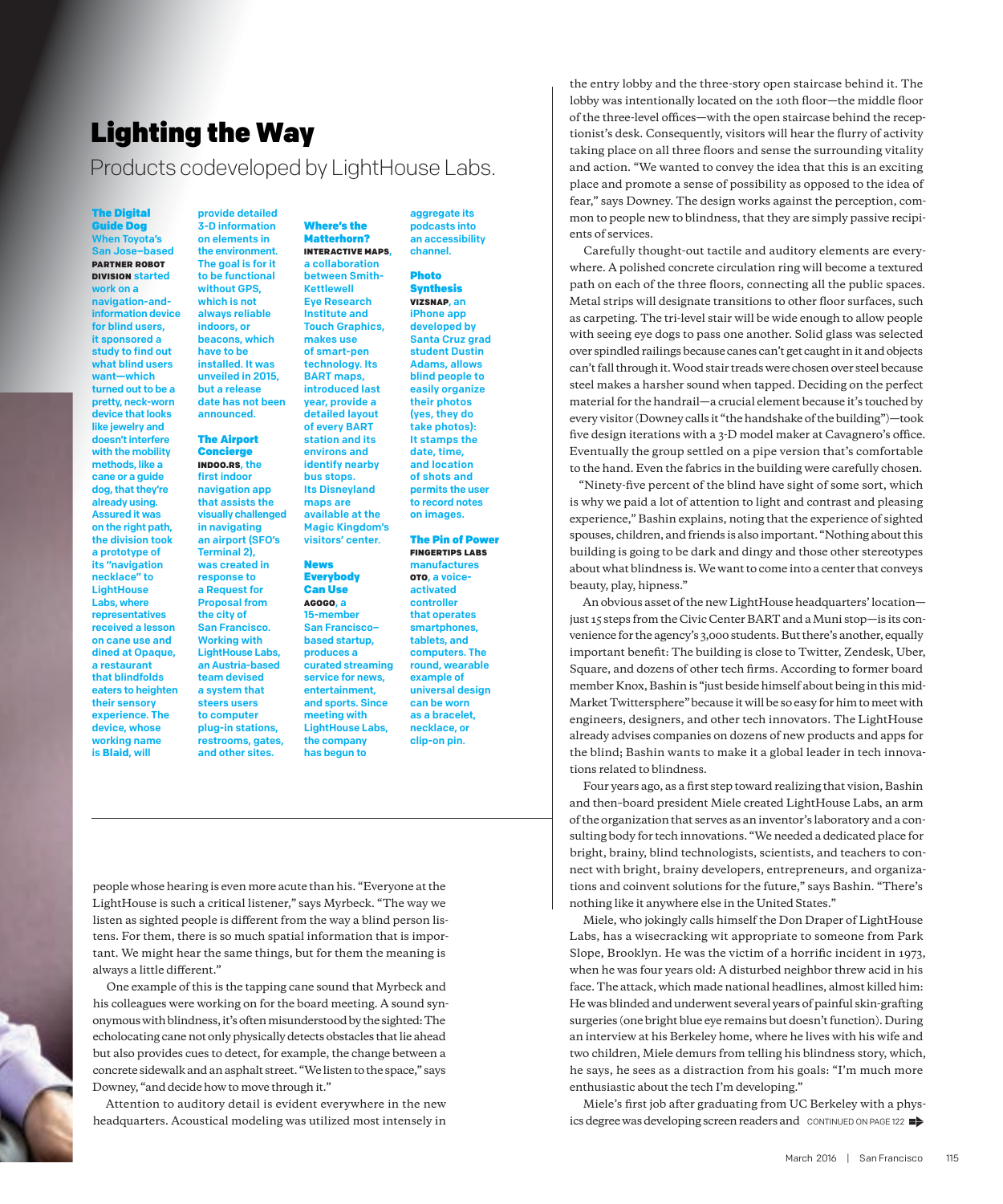# Lighting the Way Products codeveloped by LightHouse Labs.

#### The Digital ide Dog

When Toyota's San Jose–based PARTNER ROBOT DIVISION started work on a navigation-andinformation device for blind users, it sponsored a study to find out what blind users ant—which turned out to be a pretty, neck-worn device that looks like jewelry and doesn't interfere with the mobility methods, like a cane or a quide dog, that they're already using. Assured it was on the right path, the division took a prototype of its "navigation necklace" to **LightHouse** Labs, where representatives received a lesson on cane use and dined at Opaque, a restaurant that blindfolds eaters to heighten their sensory experience. The device, whose working name is **Blaid**, will

provide detailed 3-D information on elements in the environment. The goal is for it to be functional without GPS, which is not always reliable indoors, or beacons, which have to be installed. It was unveiled in 2015, but a release date has not been announced. The Airport Where's the Matterhorn? a collaboration between Smith-**Kettlewell** Eye Research Institute and Touch Graphics, makes use of smart-pen technology. Its BART maps, introduced last year, provide a detailed layout of every BART station and its environs and

#### **Conciere** INDOO.RS, the first indoor navigation app that assists the visually challenged

identify nearby bus stops. Its Disneyland maps are available at the Magic Kingdom's visitors' center.

curated streaming service for news, entertainment,

meeting with

the company

News **Everybody** Can Use AGOGO, a 15-member San Francisco–

in navigating an airport (SFO's Terminal 2), was created in response to a Request for Proposal from the city of San Francisco. Working with LightHouse Labs, an Austria-based team devised a system that steers users to computer plug-in stations, restrooms, gates, and other sites. based startup, produces a and sports. Since LightHouse Labs, has begun to

#### INTERACTIVE MAPS, aggregate its podcasts into an accessibility channel.

### Photo **Synthesis** VIZSNAP, an

iPhone app developed by Santa Cruz grad student Dustin Adams, allows blind people to easily organize their photos (yes, they do take photos): It stamps the date, time, and location of shots and permits the user to record notes on images.

#### The Pin of Power FINGERTIPS LABS

manufactures OTO, a voiceactivated controller that operates smartphones, tablets, and computers. The round, wearable example of universal design can be worn as a bracelet, necklace, or clip-on pin.

people whose hearing is even more acute than his. "Everyone at the LightHouse is such a critical listener," says Myrbeck. "The way we listen as sighted people is different from the way a blind person listens. For them, there is so much spatial information that is important. We might hear the same things, but for them the meaning is always a little different."

One example of this is the tapping cane sound that Myrbeck and his colleagues were working on for the board meeting. A sound synonymous with blindness, it's often misunderstood by the sighted: The echolocating cane not only physically detects obstacles that lie ahead but also provides cues to detect, for example, the change between a concrete sidewalk and an asphalt street. "We listen to the space," says Downey, "and decide how to move through it."

Attention to auditory detail is evident everywhere in the new headquarters. Acoustical modeling was utilized most intensely in the entry lobby and the three-story open staircase behind it. The lobby was intentionally located on the 10th floor—the middle floor of the three-level offices—with the open staircase behind the receptionist's desk. Consequently, visitors will hear the flurry of activity taking place on all three floors and sense the surrounding vitality and action. "We wanted to convey the idea that this is an exciting place and promote a sense of possibility as opposed to the idea of fear," says Downey. The design works against the perception, common to people new to blindness, that they are simply passive recipients of services.

Carefully thought-out tactile and auditory elements are everywhere. A polished concrete circulation ring will become a textured path on each of the three floors, connecting all the public spaces. Metal strips will designate transitions to other floor surfaces, such as carpeting. The tri-level stair will be wide enough to allow people with seeing eye dogs to pass one another. Solid glass was selected over spindled railings because canes can't get caught in it and objects can't fall through it. Wood stair treads were chosen over steel because steel makes a harsher sound when tapped. Deciding on the perfect material for the handrail—a crucial element because it's touched by every visitor (Downey calls it "the handshake of the building")—took five design iterations with a 3-D model maker at Cavagnero's office. Eventually the group settled on a pipe version that's comfortable to the hand. Even the fabrics in the building were carefully chosen.

"Ninety-five percent of the blind have sight of some sort, which is why we paid a lot of attention to light and contrast and pleasing experience," Bashin explains, noting that the experience of sighted spouses, children, and friends is also important. "Nothing about this building is going to be dark and dingy and those other stereotypes about what blindness is. We want to come into a center that conveys beauty, play, hipness."

An obvious asset of the new LightHouse headquarters' location just 15 steps from the Civic Center BART and a Muni stop—is its convenience for the agency's 3,000 students. But there's another, equally important benefit: The building is close to Twitter, Zendesk, Uber, Square, and dozens of other tech firms. According to former board member Knox, Bashin is "just beside himself about being in this mid-Market Twittersphere" because it will be so easy for him to meet with engineers, designers, and other tech innovators. The LightHouse already advises companies on dozens of new products and apps for the blind; Bashin wants to make it a global leader in tech innovations related to blindness.

Four years ago, as a first step toward realizing that vision, Bashin and then–board president Miele created LightHouse Labs, an arm of the organization that serves as an inventor's laboratory and a consulting body for tech innovations. "We needed a dedicated place for bright, brainy, blind technologists, scientists, and teachers to connect with bright, brainy developers, entrepreneurs, and organizations and coinvent solutions for the future," says Bashin. "There's nothing like it anywhere else in the United States."

Miele, who jokingly calls himself the Don Draper of LightHouse Labs, has a wisecracking wit appropriate to someone from Park Slope, Brooklyn. He was the victim of a horrific incident in 1973, when he was four years old: A disturbed neighbor threw acid in his face. The attack, which made national headlines, almost killed him: He was blinded and underwent several years of painful skin-grafting surgeries (one bright blue eye remains but doesn't function). During an interview at his Berkeley home, where he lives with his wife and two children, Miele demurs from telling his blindness story, which, he says, he sees as a distraction from his goals: "I'm much more enthusiastic about the tech I'm developing."

Miele's first job after graduating from UC Berkeley with a physics degree was developing screen readers and continued on PAGE 122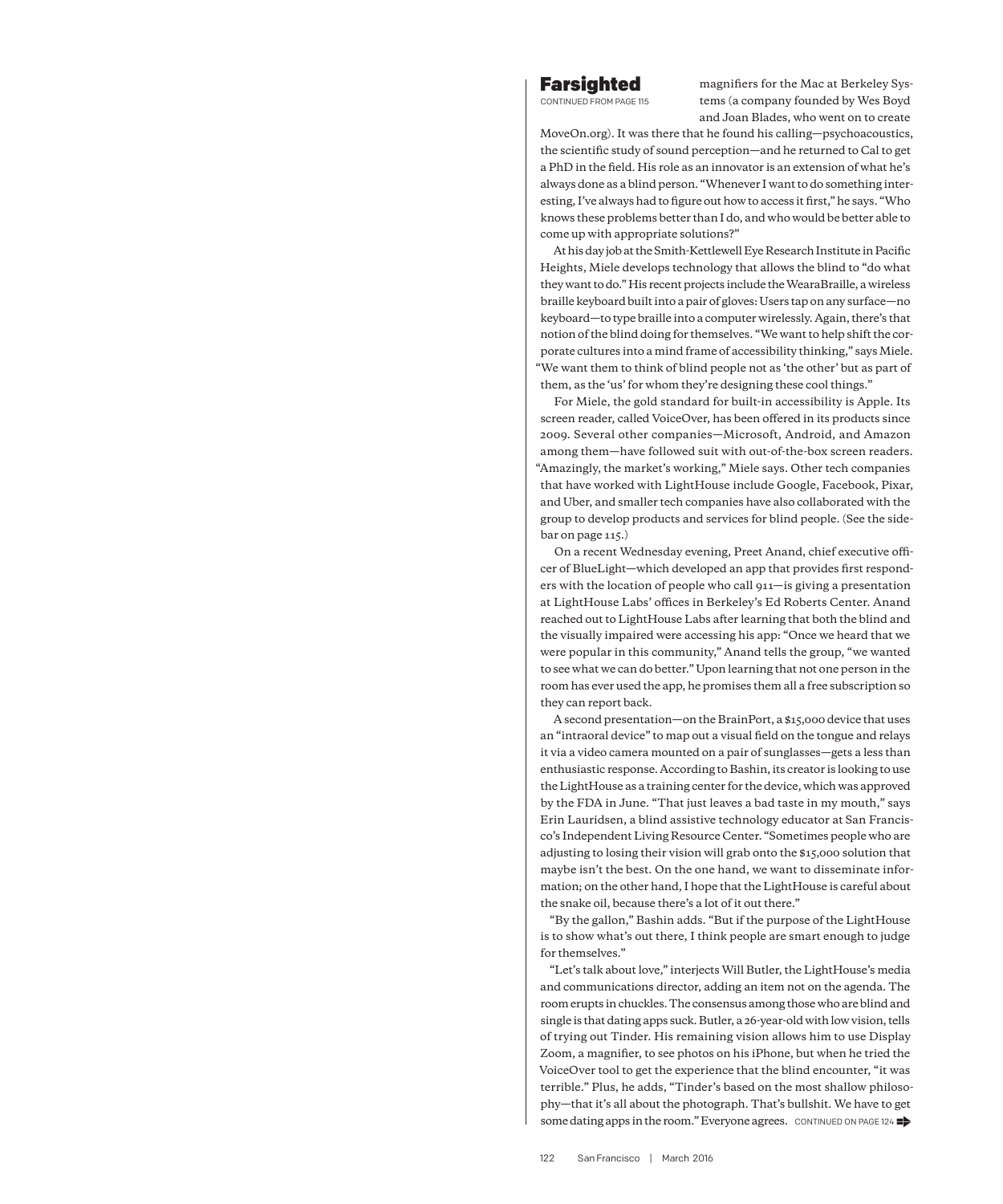### Farsighted

CONTINUED FROM PAGE 115

magnifiers for the Mac at Berkeley Systems (a company founded by Wes Boyd and Joan Blades, who went on to create

MoveOn.org). It was there that he found his calling—psychoacoustics, the scientific study of sound perception—and he returned to Cal to get a PhD in the field. His role as an innovator is an extension of what he's always done as a blind person. "Whenever I want to do something interesting, I've always had to figure out how to access it first," he says. "Who knows these problems better than I do, and who would be better able to come up with appropriate solutions?"

At his day job at the Smith-Kettlewell Eye Research Institute in Pacific Heights, Miele develops technology that allows the blind to "do what they want to do." His recent projects include the WearaBraille, a wireless braille keyboard built into a pair of gloves: Users tap on any surface—no keyboard—to type braille into a computer wirelessly. Again, there's that notion of the blind doing for themselves. "We want to help shift the corporate cultures into a mind frame of accessibility thinking," says Miele. "We want them to think of blind people not as 'the other' but as part of them, as the 'us' for whom they're designing these cool things."

For Miele, the gold standard for built-in accessibility is Apple. Its screen reader, called VoiceOver, has been offered in its products since 2009. Several other companies—Microsoft, Android, and Amazon among them—have followed suit with out-of-the-box screen readers. "Amazingly, the market's working," Miele says. Other tech companies that have worked with LightHouse include Google, Facebook, Pixar, and Uber, and smaller tech companies have also collaborated with the group to develop products and services for blind people. (See the sidebar on page 115.)

On a recent Wednesday evening, Preet Anand, chief executive officer of BlueLight—which developed an app that provides first responders with the location of people who call 911—is giving a presentation at LightHouse Labs' offices in Berkeley's Ed Roberts Center. Anand reached out to LightHouse Labs after learning that both the blind and the visually impaired were accessing his app: "Once we heard that we were popular in this community," Anand tells the group, "we wanted to see what we can do better." Upon learning that not one person in the room has ever used the app, he promises them all a free subscription so they can report back.

A second presentation—on the BrainPort, a \$15,000 device that uses an "intraoral device" to map out a visual field on the tongue and relays it via a video camera mounted on a pair of sunglasses—gets a less than enthusiastic response. According to Bashin, its creator is looking to use the LightHouse as a training center for the device, which was approved by the FDA in June. "That just leaves a bad taste in my mouth," says Erin Lauridsen, a blind assistive technology educator at San Francisco's Independent Living Resource Center. "Sometimes people who are adjusting to losing their vision will grab onto the \$15,000 solution that maybe isn't the best. On the one hand, we want to disseminate information; on the other hand, I hope that the LightHouse is careful about the snake oil, because there's a lot of it out there."

"By the gallon," Bashin adds. "But if the purpose of the LightHouse is to show what's out there, I think people are smart enough to judge for themselves."

"Let's talk about love," interjects Will Butler, the LightHouse's media and communications director, adding an item not on the agenda. The room erupts in chuckles. The consensus among those who are blind and single is that dating apps suck. Butler, a 26-year-old with low vision, tells of trying out Tinder. His remaining vision allows him to use Display Zoom, a magnifier, to see photos on his iPhone, but when he tried the VoiceOver tool to get the experience that the blind encounter, "it was terrible." Plus, he adds, "Tinder's based on the most shallow philosophy—that it's all about the photograph. That's bullshit. We have to get some dating apps in the room." Everyone agrees. CONTINUED ON PAGE 124